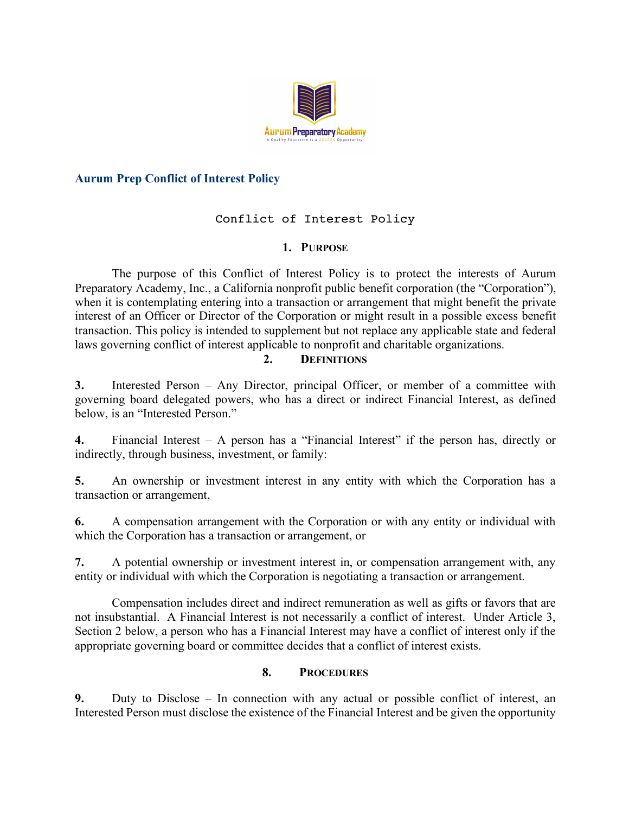

## **Aurum Prep Conflict of Interest Policy**

# Conflict of Interest Policy

### **1. PURPOSE**

The purpose of this Conflict of Interest Policy is to protect the interests of Aurum Preparatory Academy, Inc., a California nonprofit public benefit corporation (the "Corporation"), when it is contemplating entering into a transaction or arrangement that might benefit the private interest of an Officer or Director of the Corporation or might result in a possible excess benefit transaction. This policy is intended to supplement but not replace any applicable state and federal laws governing conflict of interest applicable to nonprofit and charitable organizations.

#### **2. DEFINITIONS**

**3.** Interested Person – Any Director, principal Officer, or member of a committee with governing board delegated powers, who has a direct or indirect Financial Interest, as defined below, is an "Interested Person."

**4.** Financial Interest – A person has a "Financial Interest" if the person has, directly or indirectly, through business, investment, or family:

**5.** An ownership or investment interest in any entity with which the Corporation has a transaction or arrangement,

**6.** A compensation arrangement with the Corporation or with any entity or individual with which the Corporation has a transaction or arrangement, or

**7.** A potential ownership or investment interest in, or compensation arrangement with, any entity or individual with which the Corporation is negotiating a transaction or arrangement.

Compensation includes direct and indirect remuneration as well as gifts or favors that are not insubstantial. A Financial Interest is not necessarily a conflict of interest. Under Article 3, Section 2 below, a person who has a Financial Interest may have a conflict of interest only if the appropriate governing board or committee decides that a conflict of interest exists.

### **8. PROCEDURES**

**9.** Duty to Disclose – In connection with any actual or possible conflict of interest, an Interested Person must disclose the existence of the Financial Interest and be given the opportunity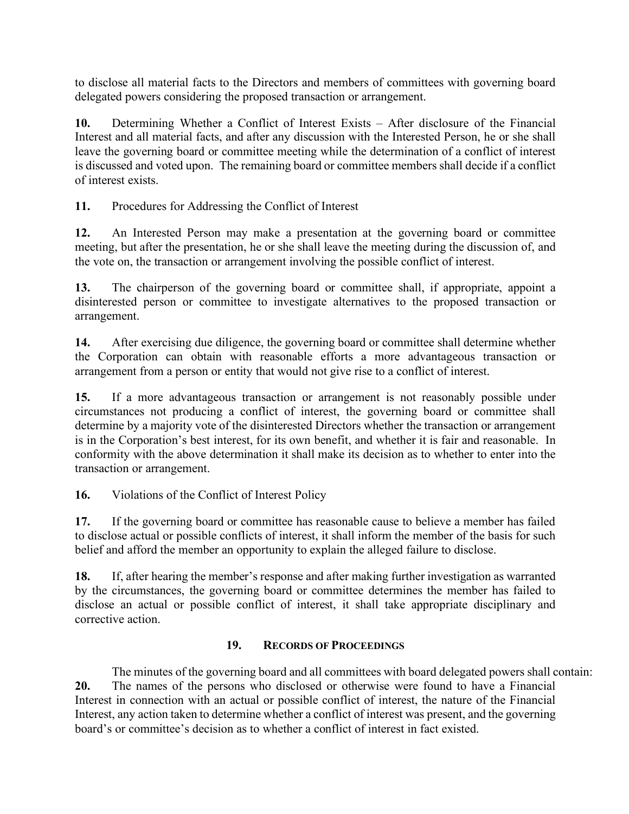to disclose all material facts to the Directors and members of committees with governing board delegated powers considering the proposed transaction or arrangement.

**10.** Determining Whether a Conflict of Interest Exists – After disclosure of the Financial Interest and all material facts, and after any discussion with the Interested Person, he or she shall leave the governing board or committee meeting while the determination of a conflict of interest is discussed and voted upon. The remaining board or committee members shall decide if a conflict of interest exists.

**11.** Procedures for Addressing the Conflict of Interest

**12.** An Interested Person may make a presentation at the governing board or committee meeting, but after the presentation, he or she shall leave the meeting during the discussion of, and the vote on, the transaction or arrangement involving the possible conflict of interest.

**13.** The chairperson of the governing board or committee shall, if appropriate, appoint a disinterested person or committee to investigate alternatives to the proposed transaction or arrangement.

**14.** After exercising due diligence, the governing board or committee shall determine whether the Corporation can obtain with reasonable efforts a more advantageous transaction or arrangement from a person or entity that would not give rise to a conflict of interest.

**15.** If a more advantageous transaction or arrangement is not reasonably possible under circumstances not producing a conflict of interest, the governing board or committee shall determine by a majority vote of the disinterested Directors whether the transaction or arrangement is in the Corporation's best interest, for its own benefit, and whether it is fair and reasonable. In conformity with the above determination it shall make its decision as to whether to enter into the transaction or arrangement.

**16.** Violations of the Conflict of Interest Policy

**17.** If the governing board or committee has reasonable cause to believe a member has failed to disclose actual or possible conflicts of interest, it shall inform the member of the basis for such belief and afford the member an opportunity to explain the alleged failure to disclose.

**18.** If, after hearing the member's response and after making further investigation as warranted by the circumstances, the governing board or committee determines the member has failed to disclose an actual or possible conflict of interest, it shall take appropriate disciplinary and corrective action.

### **19. RECORDS OF PROCEEDINGS**

The minutes of the governing board and all committees with board delegated powers shall contain: **20.** The names of the persons who disclosed or otherwise were found to have a Financial Interest in connection with an actual or possible conflict of interest, the nature of the Financial Interest, any action taken to determine whether a conflict of interest was present, and the governing board's or committee's decision as to whether a conflict of interest in fact existed.